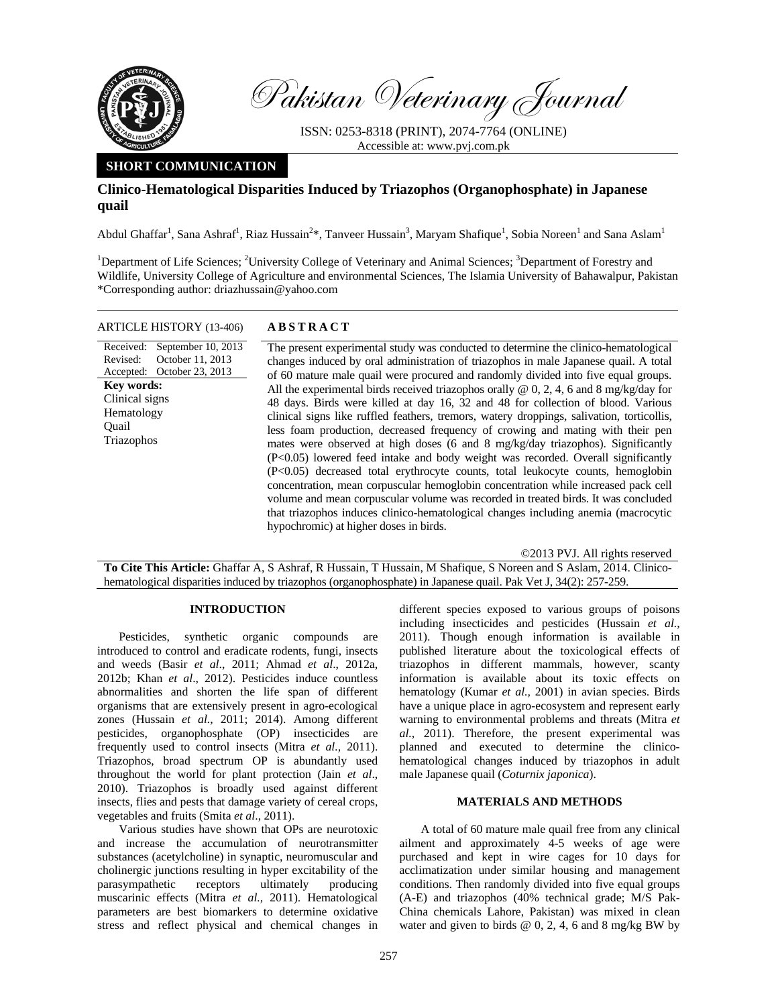

Pakistan Veterinary Journal

ISSN: 0253-8318 (PRINT), 2074-7764 (ONLINE) Accessible at: www.pvj.com.pk

# **SHORT COMMUNICATION**

# **Clinico-Hematological Disparities Induced by Triazophos (Organophosphate) in Japanese quail**

Abdul Ghaffar<sup>1</sup>, Sana Ashraf<sup>1</sup>, Riaz Hussain<sup>2\*</sup>, Tanveer Hussain<sup>3</sup>, Maryam Shafique<sup>1</sup>, Sobia Noreen<sup>1</sup> and Sana Aslam<sup>1</sup>

<sup>1</sup>Department of Life Sciences; <sup>2</sup>University College of Veterinary and Animal Sciences; <sup>3</sup>Department of Forestry and Wildlife, University College of Agriculture and environmental Sciences, The Islamia University of Bahawalpur, Pakistan \*Corresponding author: driazhussain@yahoo.com

## ARTICLE HISTORY (13-406) **ABSTRACT**

Received: September 10, 2013 Revised: Accepted: October 23, 2013 October 11, 2013 **Key words:**  Clinical signs Hematology Quail Triazophos

 The present experimental study was conducted to determine the clinico-hematological changes induced by oral administration of triazophos in male Japanese quail. A total of 60 mature male quail were procured and randomly divided into five equal groups. All the experimental birds received triazophos orally  $\omega$  0, 2, 4, 6 and 8 mg/kg/day for 48 days. Birds were killed at day 16, 32 and 48 for collection of blood. Various clinical signs like ruffled feathers, tremors, watery droppings, salivation, torticollis, less foam production, decreased frequency of crowing and mating with their pen mates were observed at high doses (6 and 8 mg/kg/day triazophos). Significantly (P<0.05) lowered feed intake and body weight was recorded. Overall significantly (P<0.05) decreased total erythrocyte counts, total leukocyte counts, hemoglobin concentration, mean corpuscular hemoglobin concentration while increased pack cell volume and mean corpuscular volume was recorded in treated birds. It was concluded that triazophos induces clinico-hematological changes including anemia (macrocytic hypochromic) at higher doses in birds.

©2013 PVJ. All rights reserved

**To Cite This Article:** Ghaffar A, S Ashraf, R Hussain, T Hussain, M Shafique, S Noreen and S Aslam, 2014. Clinicohematological disparities induced by triazophos (organophosphate) in Japanese quail. Pak Vet J, 34(2): 257-259.

# **INTRODUCTION**

Pesticides, synthetic organic compounds are introduced to control and eradicate rodents, fungi, insects and weeds (Basir *et al*., 2011; Ahmad *et al*., 2012a, 2012b; Khan *et al*., 2012). Pesticides induce countless abnormalities and shorten the life span of different organisms that are extensively present in agro-ecological zones (Hussain *et al.,* 2011; 2014). Among different pesticides, organophosphate (OP) insecticides are frequently used to control insects (Mitra *et al.,* 2011). Triazophos, broad spectrum OP is abundantly used throughout the world for plant protection (Jain *et al*., 2010). Triazophos is broadly used against different insects, flies and pests that damage variety of cereal crops, vegetables and fruits (Smita *et al*., 2011).

Various studies have shown that OPs are neurotoxic and increase the accumulation of neurotransmitter substances (acetylcholine) in synaptic, neuromuscular and cholinergic junctions resulting in hyper excitability of the parasympathetic receptors ultimately producing muscarinic effects (Mitra *et al.,* 2011). Hematological parameters are best biomarkers to determine oxidative stress and reflect physical and chemical changes in

different species exposed to various groups of poisons including insecticides and pesticides (Hussain *et al.,* 2011). Though enough information is available in published literature about the toxicological effects of triazophos in different mammals, however, scanty information is available about its toxic effects on hematology (Kumar *et al.,* 2001) in avian species. Birds have a unique place in agro-ecosystem and represent early warning to environmental problems and threats (Mitra *et al.,* 2011). Therefore, the present experimental was planned and executed to determine the clinicohematological changes induced by triazophos in adult male Japanese quail (*Coturnix japonica*).

### **MATERIALS AND METHODS**

A total of 60 mature male quail free from any clinical ailment and approximately 4-5 weeks of age were purchased and kept in wire cages for 10 days for acclimatization under similar housing and management conditions. Then randomly divided into five equal groups (A-E) and triazophos (40% technical grade; M/S Pak-China chemicals Lahore, Pakistan) was mixed in clean water and given to birds  $\omega$  0, 2, 4, 6 and 8 mg/kg BW by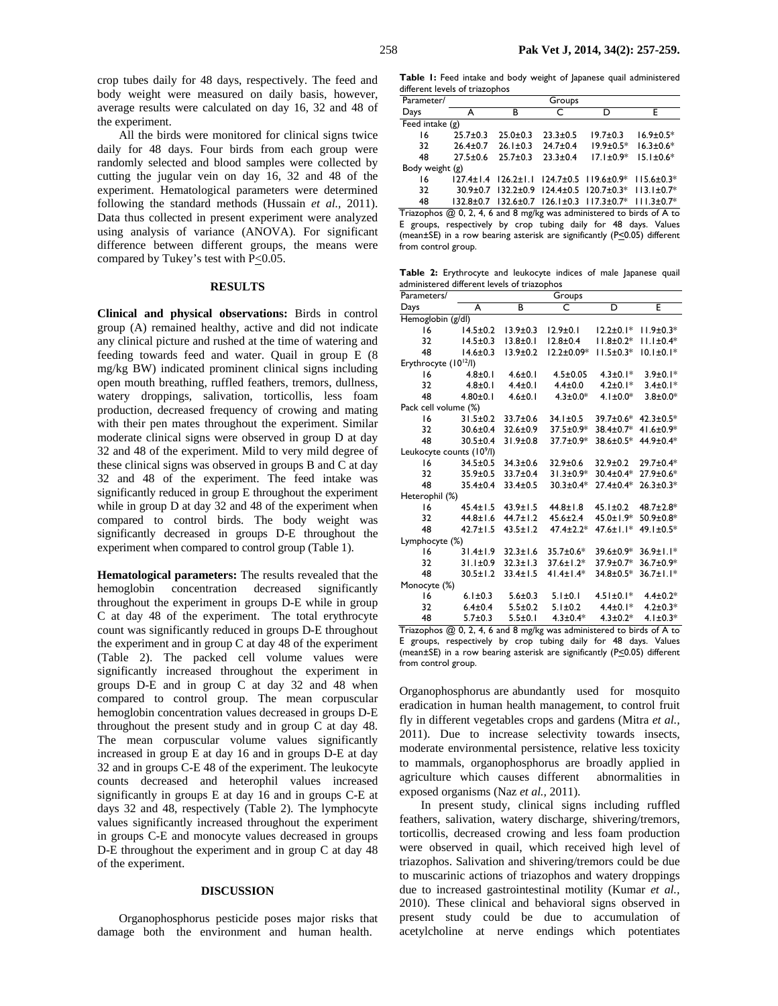crop tubes daily for 48 days, respectively. The feed and body weight were measured on daily basis, however, average results were calculated on day 16, 32 and 48 of the experiment.

All the birds were monitored for clinical signs twice daily for 48 days. Four birds from each group were randomly selected and blood samples were collected by cutting the jugular vein on day 16, 32 and 48 of the experiment. Hematological parameters were determined following the standard methods (Hussain *et al.,* 2011). Data thus collected in present experiment were analyzed using analysis of variance (ANOVA). For significant difference between different groups, the means were compared by Tukey's test with  $P \le 0.05$ .

## **RESULTS**

**Clinical and physical observations:** Birds in control group (A) remained healthy, active and did not indicate any clinical picture and rushed at the time of watering and feeding towards feed and water. Quail in group E (8 mg/kg BW) indicated prominent clinical signs including open mouth breathing, ruffled feathers, tremors, dullness, watery droppings, salivation, torticollis, less foam production, decreased frequency of crowing and mating with their pen mates throughout the experiment. Similar moderate clinical signs were observed in group D at day 32 and 48 of the experiment. Mild to very mild degree of these clinical signs was observed in groups B and C at day 32 and 48 of the experiment. The feed intake was significantly reduced in group E throughout the experiment while in group D at day 32 and 48 of the experiment when compared to control birds. The body weight was significantly decreased in groups D-E throughout the experiment when compared to control group (Table 1).

**Hematological parameters:** The results revealed that the hemoglobin concentration decreased significantly throughout the experiment in groups D-E while in group C at day 48 of the experiment. The total erythrocyte count was significantly reduced in groups D-E throughout the experiment and in group C at day 48 of the experiment (Table 2). The packed cell volume values were significantly increased throughout the experiment in groups D-E and in group C at day 32 and 48 when compared to control group. The mean corpuscular hemoglobin concentration values decreased in groups D-E throughout the present study and in group C at day 48. The mean corpuscular volume values significantly increased in group E at day 16 and in groups D-E at day 32 and in groups C-E 48 of the experiment. The leukocyte counts decreased and heterophil values increased significantly in groups E at day 16 and in groups C-E at days 32 and 48, respectively (Table 2). The lymphocyte values significantly increased throughout the experiment in groups C-E and monocyte values decreased in groups D-E throughout the experiment and in group C at day 48 of the experiment.

#### **DISCUSSION**

Organophosphorus pesticide poses major risks that damage both the environment and human health.

**Table 1:** Feed intake and body weight of Japanese quail administered different levels of triazophos

| Parameter/                                                              | Groups         |                |                |                                                                                     |                 |  |  |  |  |
|-------------------------------------------------------------------------|----------------|----------------|----------------|-------------------------------------------------------------------------------------|-----------------|--|--|--|--|
| Days                                                                    | А              | в              | C              | D                                                                                   | F               |  |  |  |  |
| Feed intake $(g)$                                                       |                |                |                |                                                                                     |                 |  |  |  |  |
| 16                                                                      | $25.7 \pm 0.3$ | $25.0 \pm 0.3$ | $23.3 \pm 0.5$ | $19.7 \pm 0.3$                                                                      | $16.9 \pm 0.5*$ |  |  |  |  |
| 32                                                                      | $26.4 \pm 0.7$ | $26.1 \pm 0.3$ | $24.7 \pm 0.4$ | $19.9 \pm 0.5*$                                                                     | $16.3 \pm 0.6*$ |  |  |  |  |
| 48                                                                      | $27.5 \pm 0.6$ | $25.7 \pm 0.3$ | $23.3 \pm 0.4$ | $17.1 \pm 0.9*$                                                                     | $15.1 \pm 0.6*$ |  |  |  |  |
| Body weight (g)                                                         |                |                |                |                                                                                     |                 |  |  |  |  |
| 16                                                                      |                |                |                | 127.4±1.4 126.2±1.1 124.7±0.5 119.6±0.9* 115.6±0.3*                                 |                 |  |  |  |  |
| 32                                                                      |                |                |                | 30.9±0.7 132.2±0.9 124.4±0.5 120.7±0.3* 113.1±0.7*                                  |                 |  |  |  |  |
| 48                                                                      |                |                |                | $132.8 \pm 0.7$ $132.6 \pm 0.7$ $126.1 \pm 0.3$ $117.3 \pm 0.7$ * $111.3 \pm 0.7$ * |                 |  |  |  |  |
| Triazophos $@$ 0, 2, 4, 6 and 8 mg/kg was administered to birds of A to |                |                |                |                                                                                     |                 |  |  |  |  |

E groups, respectively by crop tubing daily for 48 days. Values (mean $\pm$ SE) in a row bearing asterisk are significantly (P $\leq$ 0.05) different from control group.

**Table 2:** Erythrocyte and leukocyte indices of male Japanese quail administered different levels of triazophos

| Parameters/                           | Groups                                 |                                         |                                |                                            |                              |  |  |  |  |
|---------------------------------------|----------------------------------------|-----------------------------------------|--------------------------------|--------------------------------------------|------------------------------|--|--|--|--|
| Days                                  | A                                      | B                                       | C                              | D                                          | E                            |  |  |  |  |
| Hemoglobin (g/dl)                     |                                        |                                         |                                |                                            |                              |  |  |  |  |
| 16                                    | $14.5 \pm 0.2$                         | $13.9 \pm 0.3$                          | $12.9 \pm 0.1$                 | $12.2 \pm 0.1*$                            | $11.9 \pm 0.3*$              |  |  |  |  |
| 32                                    | $14.5 \pm 0.3$                         | $13.8 \pm 0.1$                          | $12.8 \pm 0.4$                 | $11.8 \pm 0.2*$                            | $11.1 \pm 0.4*$              |  |  |  |  |
| 48                                    | $14.6 \pm 0.3$                         | $13.9 \pm 0.2$                          | $12.2 \pm 0.09*$               | $11.5 \pm 0.3*$                            | $10.1 \pm 0.1*$              |  |  |  |  |
| Erythrocyte (10 <sup>12</sup> /l)     |                                        |                                         |                                |                                            |                              |  |  |  |  |
| 16                                    | $4.8 + 0.1$                            | $4.6 + 0.1$                             | $4.5 \pm 0.05$                 | $4.3 \pm 0.1*$                             | $3.9 \pm 0.1*$               |  |  |  |  |
| 32                                    | $4.8 + 0.1$                            | $4.4 \pm 0.1$                           | $4.4 \pm 0.0$                  | $4.2 \pm 0.1*$                             | $3.4 \pm 0.1*$               |  |  |  |  |
| 48                                    | $4.80 + 0.1$                           | $4.6 + 0.1$                             | $4.3 \pm 0.0*$                 | 4.1 $\pm$ 0.0*                             | $3.8 + 0.0*$                 |  |  |  |  |
| Pack cell volume (%)                  |                                        |                                         |                                |                                            |                              |  |  |  |  |
| 16                                    | $31.5 \pm 0.2$                         | 33.7±0.6                                | 34.1±0.5                       | 39.7±0.6*                                  | $42.3 \pm 0.5*$              |  |  |  |  |
| 32                                    | $30.6 \pm 0.4$                         | 32.6±0.9                                | 37.5±0.9*                      | 38.4±0.7*                                  | 41.6±0.9*                    |  |  |  |  |
| 48                                    | $30.5 \pm 0.4$                         | $31.9 \pm 0.8$                          | 37.7±0.9*                      | 38.6±0.5*                                  | 44.9±0.4*                    |  |  |  |  |
| Leukocyte counts (10 <sup>9</sup> /l) |                                        |                                         |                                |                                            |                              |  |  |  |  |
| 16                                    | $34.5 \pm 0.5$                         | $34.3 \pm 0.6$                          | 32.9±0.6                       | $32.9 \pm 0.2$                             | $29.7 \pm 0.4*$              |  |  |  |  |
| 32                                    | 35.9±0.5                               | 33.7±0.4                                | $31.3 \pm 0.9*$                | $30.4 \pm 0.4*$                            | 27.9±0.6*                    |  |  |  |  |
| 48                                    | $35.4 \pm 0.4$                         | $33.4 \pm 0.5$                          | $30.3 \pm 0.4*$                | $27.4 \pm 0.4*$                            | $26.3 \pm 0.3*$              |  |  |  |  |
| Heterophil (%)                        |                                        |                                         |                                |                                            |                              |  |  |  |  |
| 16                                    | $45.4 \pm 1.5$                         | $43.9 \pm 1.5$                          | $44.8 \pm 1.8$                 | $45.1 \pm 0.2$                             | 48.7±2.8*                    |  |  |  |  |
| 32                                    | $44.8 \pm 1.6$                         | $44.7 \pm 1.2$                          | $45.6 \pm 2.4$                 | 45.0±1.9*                                  | 50.9±0.8*                    |  |  |  |  |
| 48                                    | $42.7 \pm 1.5$                         | $43.5 \pm 1.2$                          | $47.4 \pm 2.2*$                | $47.6 \pm 1.1*$                            | 49.1±0.5*                    |  |  |  |  |
| Lymphocyte (%)                        |                                        |                                         |                                |                                            |                              |  |  |  |  |
| 16                                    | $31.4 \pm 1.9$                         | $32.3 \pm 1.6$                          | 35.7±0.6*                      | 39.6±0.9*                                  | $36.9 \pm 1.1*$              |  |  |  |  |
| 32                                    | $31.1 \pm 0.9$                         | $32.3 \pm 1.3$                          | $37.6 \pm 1.2*$                | 37.9±0.7*                                  | 36.7±0.9*                    |  |  |  |  |
| 48                                    | $30.5 \pm 1.2$                         | $33.4 \pm 1.5$                          | $41.4 \pm 1.4*$                | 34.8±0.5*                                  | $36.7 \pm 1.1*$              |  |  |  |  |
| Monocyte (%)                          |                                        |                                         |                                |                                            |                              |  |  |  |  |
| 16                                    | $6.1 \pm 0.3$                          | $5.6 \pm 0.3$                           | $5.1 \pm 0.1$                  | $4.51 \pm 0.1*$                            | $4.4 \pm 0.2*$               |  |  |  |  |
| 32                                    | $6.4 \pm 0.4$                          | $5.5 \pm 0.2$                           | $5.1 \pm 0.2$                  | $4.4 \pm 0.1*$                             | $4.2 \pm 0.3*$               |  |  |  |  |
| 48<br>÷.                              | $5.7 \pm 0.3$<br>$\sim$<br>,<br>$\sim$ | $5.5 \pm 0.1$<br>$\sim$<br>$\mathbf{u}$ | $4.3 \pm 0.4*$<br>$\mathbf{I}$ | $4.3 \pm 0.2*$<br>$\mathbf{1}$<br>$\cdots$ | $4.1 \pm 0.3*$<br>$\epsilon$ |  |  |  |  |

Triazophos @ 0, 2, 4, 6 and 8 mg/kg was administered to birds of A to E groups, respectively by crop tubing daily for 48 days. Values (mean $\pm$ SE) in a row bearing asterisk are significantly (P $\leq$ 0.05) different from control group.

Organophosphorus are abundantly used for mosquito eradication in human health management, to control fruit fly in different vegetables crops and gardens (Mitra *et al.,* 2011). Due to increase selectivity towards insects, moderate environmental persistence, relative less toxicity to mammals, organophosphorus are broadly applied in agriculture which causes different abnormalities in exposed organisms (Naz *et al.,* 2011).

In present study, clinical signs including ruffled feathers, salivation, watery discharge, shivering/tremors, torticollis, decreased crowing and less foam production were observed in quail, which received high level of triazophos. Salivation and shivering/tremors could be due to muscarinic actions of triazophos and watery droppings due to increased gastrointestinal motility (Kumar *et al.,* 2010). These clinical and behavioral signs observed in present study could be due to accumulation of acetylcholine at nerve endings which potentiates